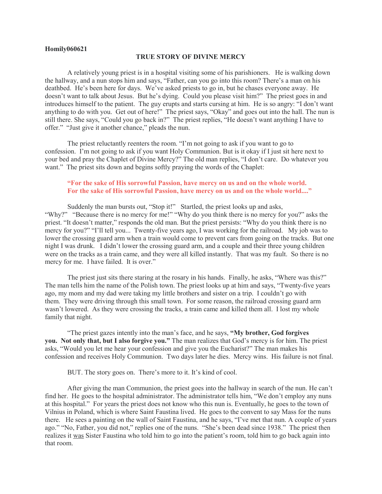## **Homily060621**

## **TRUE STORY OF DIVINE MERCY**

A relatively young priest is in a hospital visiting some of his parishioners. He is walking down the hallway, and a nun stops him and says, "Father, can you go into this room? There's a man on his deathbed. He's been here for days. We've asked priests to go in, but he chases everyone away. He doesn't want to talk about Jesus. But he's dying. Could you please visit him?" The priest goes in and introduces himself to the patient. The guy erupts and starts cursing at him. He is so angry: "I don't want anything to do with you. Get out of here!" The priest says, "Okay" and goes out into the hall. The nun is still there. She says, "Could you go back in?" The priest replies, "He doesn't want anything I have to offer." "Just give it another chance," pleads the nun.

The priest reluctantly reenters the room. "I'm not going to ask if you want to go to confession. I'm not going to ask if you want Holy Communion. But is it okay if I just sit here next to your bed and pray the Chaplet of Divine Mercy?" The old man replies, "I don't care. Do whatever you want." The priest sits down and begins softly praying the words of the Chaplet:

## **"For the sake of His sorrowful Passion, have mercy on us and on the whole world. For the sake of His sorrowful Passion, have mercy on us and on the whole world...."**

Suddenly the man bursts out, "Stop it!" Startled, the priest looks up and asks, "Why?" "Because there is no mercy for me!" "Why do you think there is no mercy for you?" asks the priest. "It doesn't matter," responds the old man. But the priest persists: "Why do you think there is no mercy for you?" "I'll tell you... Twenty-five years ago, I was working for the railroad. My job was to lower the crossing guard arm when a train would come to prevent cars from going on the tracks. But one night I was drunk. I didn't lower the crossing guard arm, and a couple and their three young children were on the tracks as a train came, and they were all killed instantly. That was my fault. So there is no mercy for me. I have failed. It is over."

The priest just sits there staring at the rosary in his hands. Finally, he asks, "Where was this?" The man tells him the name of the Polish town. The priest looks up at him and says, "Twenty-five years ago, my mom and my dad were taking my little brothers and sister on a trip. I couldn't go with them. They were driving through this small town. For some reason, the railroad crossing guard arm wasn't lowered. As they were crossing the tracks, a train came and killed them all. I lost my whole family that night.

"The priest gazes intently into the man's face, and he says, **"My brother, God forgives you. Not only that, but I also forgive you."** The man realizes that God's mercy is for him. The priest asks, "Would you let me hear your confession and give you the Eucharist?" The man makes his confession and receives Holy Communion. Two days later he dies. Mercy wins. His failure is not final.

BUT. The story goes on. There's more to it. It's kind of cool.

After giving the man Communion, the priest goes into the hallway in search of the nun. He can't find her. He goes to the hospital administrator. The administrator tells him, "We don't employ any nuns at this hospital." For years the priest does not know who this nun is. Eventually, he goes to the town of Vilnius in Poland, which is where Saint Faustina lived. He goes to the convent to say Mass for the nuns there. He sees a painting on the wall of Saint Faustina, and he says, "I've met that nun. A couple of years ago." "No, Father, you did not," replies one of the nuns. "She's been dead since 1938." The priest then realizes it was Sister Faustina who told him to go into the patient's room, told him to go back again into that room.